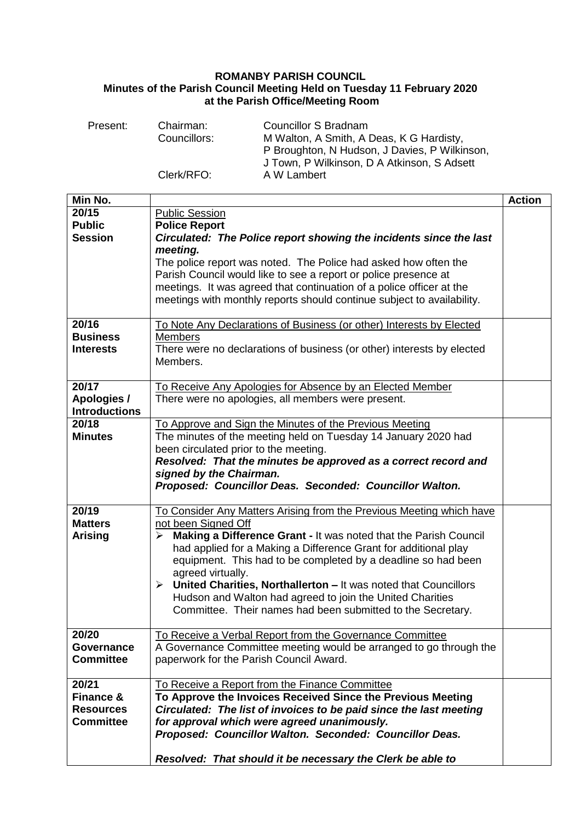## **ROMANBY PARISH COUNCIL Minutes of the Parish Council Meeting Held on Tuesday 11 February 2020 at the Parish Office/Meeting Room**

| Present: | Chairman:    | Councillor S Bradnam                          |
|----------|--------------|-----------------------------------------------|
|          | Councillors: | M Walton, A Smith, A Deas, K G Hardisty,      |
|          |              | P Broughton, N Hudson, J Davies, P Wilkinson, |
|          |              | J Town, P Wilkinson, D A Atkinson, S Adsett   |
|          | Clerk/RFO:   | A W Lambert                                   |

| Min No.                                                                                    | <b>Action</b> |
|--------------------------------------------------------------------------------------------|---------------|
| 20/15<br>Public Session                                                                    |               |
| <b>Public</b><br><b>Police Report</b>                                                      |               |
| <b>Session</b><br>Circulated: The Police report showing the incidents since the last       |               |
| meeting.                                                                                   |               |
| The police report was noted. The Police had asked how often the                            |               |
| Parish Council would like to see a report or police presence at                            |               |
| meetings. It was agreed that continuation of a police officer at the                       |               |
| meetings with monthly reports should continue subject to availability.                     |               |
|                                                                                            |               |
| 20/16<br>To Note Any Declarations of Business (or other) Interests by Elected              |               |
| <b>Business</b><br><b>Members</b>                                                          |               |
| <b>Interests</b><br>There were no declarations of business (or other) interests by elected |               |
| Members.                                                                                   |               |
| 20/17<br>To Receive Any Apologies for Absence by an Elected Member                         |               |
| Apologies /<br>There were no apologies, all members were present.                          |               |
| <b>Introductions</b>                                                                       |               |
| 20/18<br>To Approve and Sign the Minutes of the Previous Meeting                           |               |
| The minutes of the meeting held on Tuesday 14 January 2020 had<br><b>Minutes</b>           |               |
| been circulated prior to the meeting.                                                      |               |
| Resolved: That the minutes be approved as a correct record and                             |               |
| signed by the Chairman.                                                                    |               |
| Proposed: Councillor Deas. Seconded: Councillor Walton.                                    |               |
|                                                                                            |               |
| 20/19<br>To Consider Any Matters Arising from the Previous Meeting which have              |               |
| not been Signed Off<br><b>Matters</b>                                                      |               |
| Making a Difference Grant - It was noted that the Parish Council<br><b>Arising</b><br>≻    |               |
| had applied for a Making a Difference Grant for additional play                            |               |
| equipment. This had to be completed by a deadline so had been                              |               |
| agreed virtually.                                                                          |               |
| United Charities, Northallerton - It was noted that Councillors<br>➤                       |               |
| Hudson and Walton had agreed to join the United Charities                                  |               |
| Committee. Their names had been submitted to the Secretary.                                |               |
|                                                                                            |               |
| 20/20<br>To Receive a Verbal Report from the Governance Committee                          |               |
| A Governance Committee meeting would be arranged to go through the<br>Governance           |               |
| <b>Committee</b><br>paperwork for the Parish Council Award.                                |               |
| 20/21<br>To Receive a Report from the Finance Committee                                    |               |
| <b>Finance &amp;</b><br>To Approve the Invoices Received Since the Previous Meeting        |               |
| Circulated: The list of invoices to be paid since the last meeting<br><b>Resources</b>     |               |
|                                                                                            |               |
|                                                                                            |               |
| for approval which were agreed unanimously.<br><b>Committee</b>                            |               |
| Proposed: Councillor Walton. Seconded: Councillor Deas.                                    |               |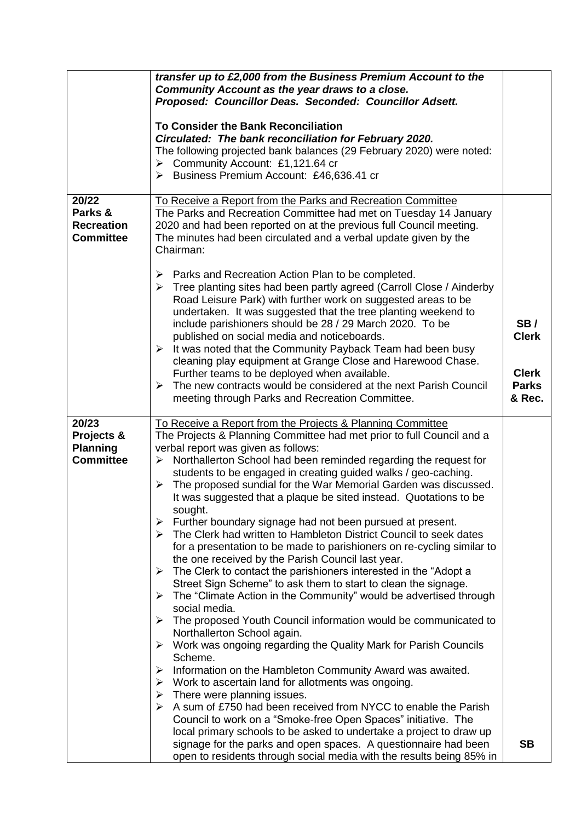|                                                            | transfer up to £2,000 from the Business Premium Account to the<br>Community Account as the year draws to a close.<br>Proposed: Councillor Deas. Seconded: Councillor Adsett.<br><b>To Consider the Bank Reconciliation</b><br>Circulated: The bank reconciliation for February 2020.                                                                                                                                                                                                                                                                                                                                                                                                                                                                                                                                                                                                                                                                                                                                                                                                                                                                                                                                                                                                                                                                                                                                                                                                              |                                                               |
|------------------------------------------------------------|---------------------------------------------------------------------------------------------------------------------------------------------------------------------------------------------------------------------------------------------------------------------------------------------------------------------------------------------------------------------------------------------------------------------------------------------------------------------------------------------------------------------------------------------------------------------------------------------------------------------------------------------------------------------------------------------------------------------------------------------------------------------------------------------------------------------------------------------------------------------------------------------------------------------------------------------------------------------------------------------------------------------------------------------------------------------------------------------------------------------------------------------------------------------------------------------------------------------------------------------------------------------------------------------------------------------------------------------------------------------------------------------------------------------------------------------------------------------------------------------------|---------------------------------------------------------------|
|                                                            | The following projected bank balances (29 February 2020) were noted:<br>Community Account: £1,121.64 cr<br>➤<br>> Business Premium Account: £46,636.41 cr                                                                                                                                                                                                                                                                                                                                                                                                                                                                                                                                                                                                                                                                                                                                                                                                                                                                                                                                                                                                                                                                                                                                                                                                                                                                                                                                         |                                                               |
| 20/22<br>Parks &<br><b>Recreation</b><br><b>Committee</b>  | To Receive a Report from the Parks and Recreation Committee<br>The Parks and Recreation Committee had met on Tuesday 14 January<br>2020 and had been reported on at the previous full Council meeting.<br>The minutes had been circulated and a verbal update given by the<br>Chairman:                                                                                                                                                                                                                                                                                                                                                                                                                                                                                                                                                                                                                                                                                                                                                                                                                                                                                                                                                                                                                                                                                                                                                                                                           |                                                               |
|                                                            | Parks and Recreation Action Plan to be completed.<br>➤<br>Tree planting sites had been partly agreed (Carroll Close / Ainderby<br>≻<br>Road Leisure Park) with further work on suggested areas to be<br>undertaken. It was suggested that the tree planting weekend to<br>include parishioners should be 28 / 29 March 2020. To be<br>published on social media and noticeboards.<br>$\triangleright$ It was noted that the Community Payback Team had been busy<br>cleaning play equipment at Grange Close and Harewood Chase.<br>Further teams to be deployed when available.<br>The new contracts would be considered at the next Parish Council<br>➤<br>meeting through Parks and Recreation Committee.                                                                                                                                                                                                                                                                                                                                                                                                                                                                                                                                                                                                                                                                                                                                                                                       | SB/<br><b>Clerk</b><br><b>Clerk</b><br><b>Parks</b><br>& Rec. |
| 20/23<br>Projects &<br><b>Planning</b><br><b>Committee</b> | To Receive a Report from the Projects & Planning Committee<br>The Projects & Planning Committee had met prior to full Council and a<br>verbal report was given as follows:<br>Northallerton School had been reminded regarding the request for<br>➤<br>students to be engaged in creating guided walks / geo-caching.<br>The proposed sundial for the War Memorial Garden was discussed.<br>➤<br>It was suggested that a plaque be sited instead. Quotations to be<br>sought.<br>Further boundary signage had not been pursued at present.<br>➤<br>The Clerk had written to Hambleton District Council to seek dates<br>➤<br>for a presentation to be made to parishioners on re-cycling similar to<br>the one received by the Parish Council last year.<br>The Clerk to contact the parishioners interested in the "Adopt a<br>➤<br>Street Sign Scheme" to ask them to start to clean the signage.<br>The "Climate Action in the Community" would be advertised through<br>➤<br>social media.<br>The proposed Youth Council information would be communicated to<br>➤<br>Northallerton School again.<br>Work was ongoing regarding the Quality Mark for Parish Councils<br>➤<br>Scheme.<br>Information on the Hambleton Community Award was awaited.<br>➤<br>Work to ascertain land for allotments was ongoing.<br>≻<br>There were planning issues.<br>➤<br>A sum of £750 had been received from NYCC to enable the Parish<br>➤<br>Council to work on a "Smoke-free Open Spaces" initiative. The |                                                               |
|                                                            | local primary schools to be asked to undertake a project to draw up<br>signage for the parks and open spaces. A questionnaire had been<br>open to residents through social media with the results being 85% in                                                                                                                                                                                                                                                                                                                                                                                                                                                                                                                                                                                                                                                                                                                                                                                                                                                                                                                                                                                                                                                                                                                                                                                                                                                                                    | <b>SB</b>                                                     |